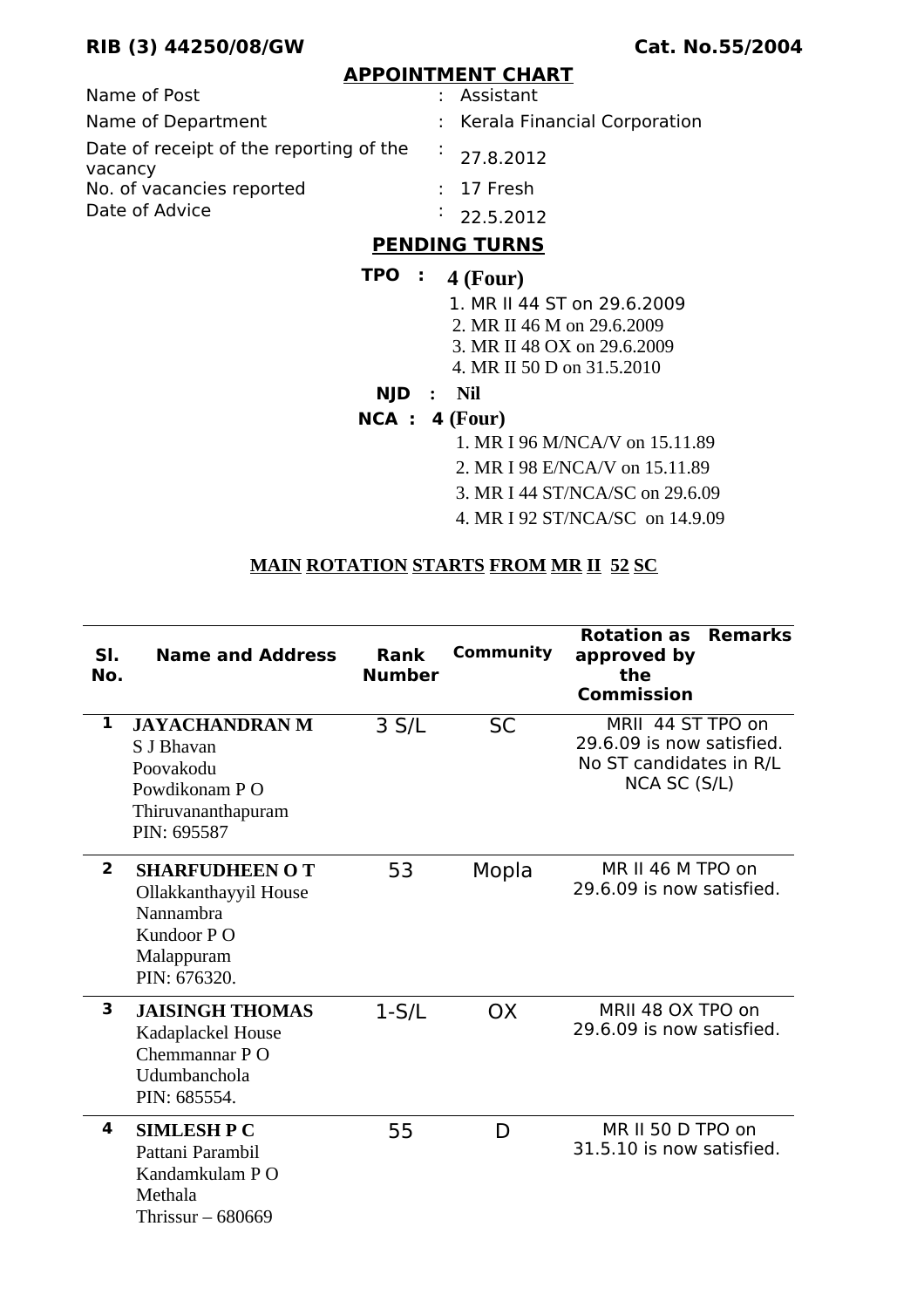## **RIB (3) 44250/08/GW Cat. No.55/2004**

#### **APPOINTMENT CHART**

| Name of Post                                       | : Assistant                    |
|----------------------------------------------------|--------------------------------|
| Name of Department                                 | : Kerala Financial Corporation |
| Date of receipt of the reporting of the<br>vacancy | $\frac{1}{27.8.2012}$          |
| No. of vacancies reported                          | $: 17$ Fresh                   |
| Date of Advice                                     | $\frac{1}{2}$ 22.5.2012        |

## **PENDING TURNS**

#### **TPO : 4 (Four)**

- 1. MR II 44 ST on 29.6.2009
- 2. MR II 46 M on 29.6.2009
- 3. MR II 48 OX on 29.6.2009
- 4. MR II 50 D on 31.5.2010
- **NJD : Nil**

#### **NCA : 4 (Four)**

- 1. MR I 96 M/NCA/V on 15.11.89
- 2. MR I 98 E/NCA/V on 15.11.89
- 3. MR I 44 ST/NCA/SC on 29.6.09
- 4. MR I 92 ST/NCA/SC on 14.9.09

#### **MAIN ROTATION STARTS FROM MR II 52 SC**

| SI.<br>No.     | <b>Name and Address</b>                                                                                 | <b>Rank</b><br><b>Number</b> | Community | <b>Rotation as</b><br><b>Remarks</b><br>approved by<br>the<br><b>Commission</b>           |
|----------------|---------------------------------------------------------------------------------------------------------|------------------------------|-----------|-------------------------------------------------------------------------------------------|
| 1              | <b>JAYACHANDRAN M</b><br>S J Bhavan<br>Poovakodu<br>Powdikonam PO<br>Thiruvananthapuram<br>PIN: 695587  | 3 S/L                        | <b>SC</b> | MRII 44 ST TPO on<br>29.6.09 is now satisfied.<br>No ST candidates in R/L<br>NCA SC (S/L) |
| $\overline{2}$ | <b>SHARFUDHEEN OT</b><br>Ollakkanthayyil House<br>Nannambra<br>Kundoor PO<br>Malappuram<br>PIN: 676320. | 53                           | Mopla     | MR II 46 M TPO on<br>29.6.09 is now satisfied.                                            |
| 3              | <b>JAISINGH THOMAS</b><br>Kadaplackel House<br>Chemmannar PO<br>Udumbanchola<br>PIN: 685554.            | $1-S/L$                      | <b>OX</b> | MRII 48 OX TPO on<br>29.6.09 is now satisfied.                                            |
| 4              | <b>SIMLESH P C</b><br>Pattani Parambil<br>Kandamkulam PO<br>Methala<br>Thrissur $-680669$               | 55                           | D         | MR II 50 D TPO on<br>31.5.10 is now satisfied.                                            |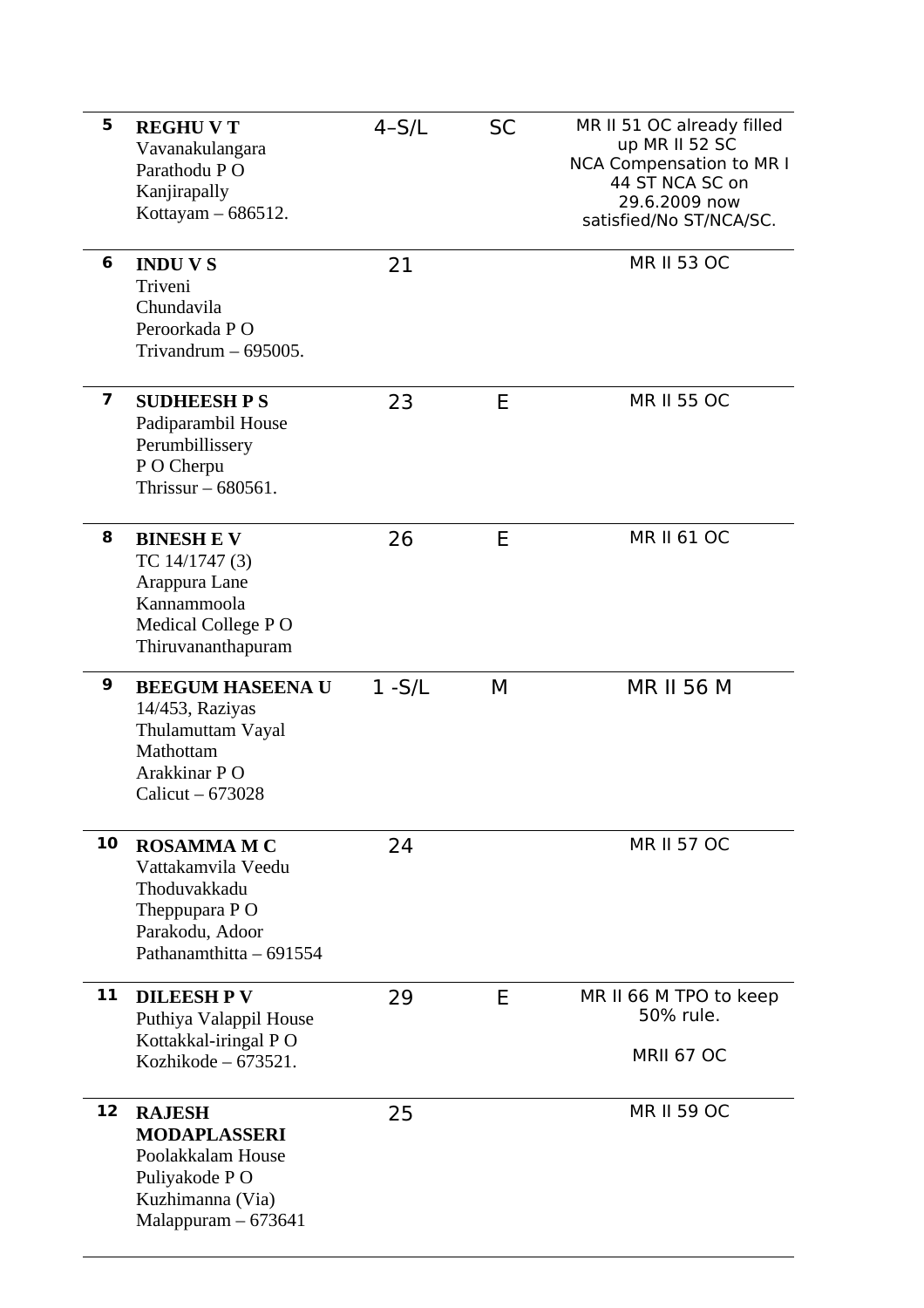| 5                       | <b>REGHUVT</b><br>Vavanakulangara<br>Parathodu PO<br>Kanjirapally<br>Kottayam - 686512.                                 | $4-S/L$   | <b>SC</b> | MR II 51 OC already filled<br>up MR II 52 SC<br><b>NCA Compensation to MR I</b><br>44 ST NCA SC on<br>29.6.2009 now<br>satisfied/No ST/NCA/SC. |
|-------------------------|-------------------------------------------------------------------------------------------------------------------------|-----------|-----------|------------------------------------------------------------------------------------------------------------------------------------------------|
| 6                       | <b>INDUVS</b><br>Triveni<br>Chundavila<br>Peroorkada PO<br>Trivandrum $-695005$ .                                       | 21        |           | <b>MR II 53 OC</b>                                                                                                                             |
| $\overline{\mathbf{z}}$ | <b>SUDHEESH P S</b><br>Padiparambil House<br>Perumbillissery<br>P O Cherpu<br>Thrissur $-680561$ .                      | 23        | E         | <b>MR II 55 OC</b>                                                                                                                             |
| 8                       | <b>BINESH E V</b><br>TC 14/1747 (3)<br>Arappura Lane<br>Kannammoola<br>Medical College PO<br>Thiruvananthapuram         | 26        | E         | <b>MR II 61 OC</b>                                                                                                                             |
| 9                       | <b>BEEGUM HASEENA U</b><br>14/453, Raziyas<br>Thulamuttam Vayal<br>Mathottam<br>Arakkinar PO<br>Calicut $-673028$       | $1 - S/L$ | М         | <b>MR II 56 M</b>                                                                                                                              |
| 10                      | <b>ROSAMMAMC</b><br>Vattakamvila Veedu<br>Thoduvakkadu<br>Theppupara PO<br>Parakodu, Adoor<br>Pathanamthitta - 691554   | 24        |           | <b>MR II 57 OC</b>                                                                                                                             |
| 11                      | <b>DILEESH PV</b><br>Puthiya Valappil House<br>Kottakkal-iringal PO<br>Kozhikode - 673521.                              | 29        | E         | MR II 66 M TPO to keep<br>50% rule.<br>MRII 67 OC                                                                                              |
| 12                      | <b>RAJESH</b><br><b>MODAPLASSERI</b><br>Poolakkalam House<br>Puliyakode P O<br>Kuzhimanna (Via)<br>Malappuram $-673641$ | 25        |           | <b>MR II 59 OC</b>                                                                                                                             |